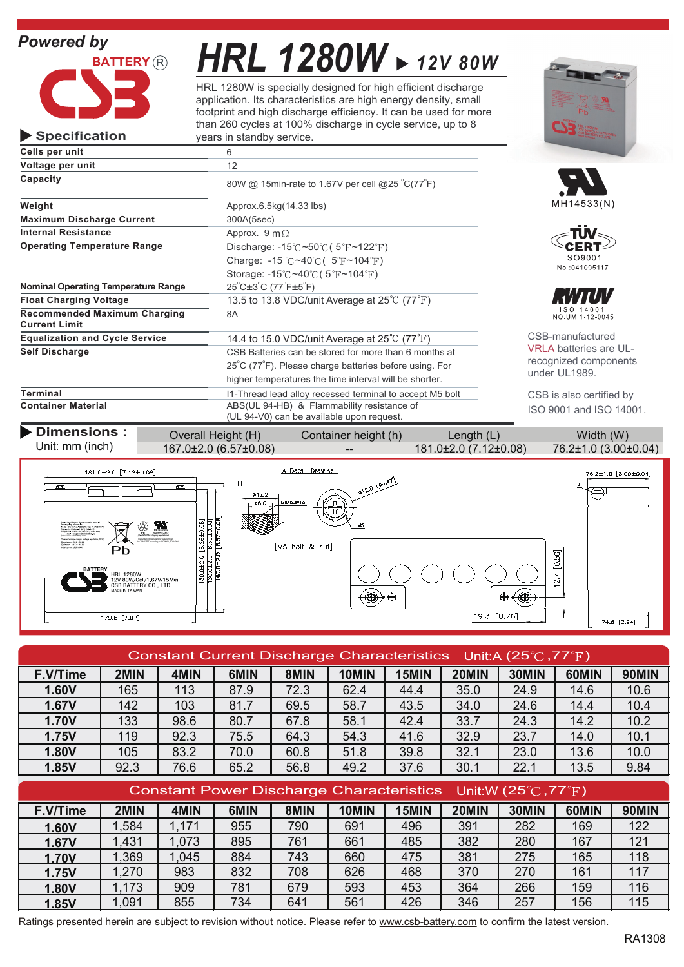## *Powered by*



**Specification**

# *HRL 1280W 12V 80W*

HRL 1280W is specially designed for high efficient discharge application. Its characteristics are high energy density, small footprint and high discharge efficiency. It can be used for more than 260 cycles at 100% discharge in cycle service, up to 8 years in standby service.



| Cells per unit                                              | 6                                                                                       |                              |
|-------------------------------------------------------------|-----------------------------------------------------------------------------------------|------------------------------|
| Voltage per unit                                            | 12                                                                                      |                              |
| Capacity                                                    | 80W @ 15min-rate to 1.67V per cell @25 °C(77°F)                                         |                              |
| Weight                                                      | Approx.6.5kg(14.33 lbs)                                                                 | MH14533(N)                   |
| <b>Maximum Discharge Current</b>                            | 300A(5sec)                                                                              |                              |
| <b>Internal Resistance</b>                                  | Approx. $9 \text{ m}\Omega$                                                             |                              |
| <b>Operating Temperature Range</b>                          | Discharge: $-15^{\circ}$ C ~50 $\circ$ C (5 $\circ$ F ~122 $\circ$ F)                   |                              |
|                                                             | Charge: -15 °C ~40 °C ( $5$ °F ~104 °F)                                                 | ISO9001                      |
|                                                             | Storage: $-15^{\circ}$ C ~40 $^{\circ}$ C (5 $^{\circ}$ F ~104 $^{\circ}$ F)            | No:041005117                 |
| <b>Nominal Operating Temperature Range</b>                  | $25^{\circ}$ C $\pm 3^{\circ}$ C (77 $^{\circ}$ F $\pm 5^{\circ}$ F)                    |                              |
| <b>Float Charging Voltage</b>                               | 13.5 to 13.8 VDC/unit Average at $25^{\circ}$ C (77 $^{\circ}$ F)                       |                              |
| <b>Recommended Maximum Charging</b><br><b>Current Limit</b> | 8A                                                                                      | ISO 14001<br>NO.UM 1-12-0045 |
| <b>Equalization and Cycle Service</b>                       | 14.4 to 15.0 VDC/unit Average at $25^{\circ}$ C (77 $^{\circ}$ F)                       | CSB-manufactured             |
| <b>Self Discharge</b>                                       | CSB Batteries can be stored for more than 6 months at                                   | <b>VRLA batteries are</b>    |
|                                                             | 25°C (77°F). Please charge batteries before using. For                                  | recognized compor            |
|                                                             | higher temperatures the time interval will be shorter.                                  | under UL1989.                |
| Terminal                                                    | I1-Thread lead alloy recessed terminal to accept M5 bolt                                | CSB is also certified        |
| <b>Container Material</b>                                   | ABS(UL 94-HB) & Flammability resistance of<br>(UL 94-V0) can be available upon request. | ISO 9001 and ISO             |

 $\frac{159.0}{160.0}$ 

1260W<br>30W/Cell/1.67V/15Min<br>BATTERY CO., LTD

179.6 [7.07]





manufactured batteries are ULnized components UL1989.

is also certified by 001 and ISO 14001.

 $\frac{1}{2}$ 

19.3  $[0.76]$ 

| <b>Dimensions:</b>                                                                                                                                                                                                                                                                                                                                                                                                                              | Overall Height (H)                                                                                                                                                                                                                                                                       | Container height (h)                                                                            | Length $(L)$          | Width (W)                                    |
|-------------------------------------------------------------------------------------------------------------------------------------------------------------------------------------------------------------------------------------------------------------------------------------------------------------------------------------------------------------------------------------------------------------------------------------------------|------------------------------------------------------------------------------------------------------------------------------------------------------------------------------------------------------------------------------------------------------------------------------------------|-------------------------------------------------------------------------------------------------|-----------------------|----------------------------------------------|
| Unit: mm (inch)                                                                                                                                                                                                                                                                                                                                                                                                                                 | 167.0±2.0 (6.57±0.08)                                                                                                                                                                                                                                                                    |                                                                                                 | 181.0±2.0 (7.12±0.08) | 76.2±1.0 (3.00±0.04)                         |
| 181.0±2.0 [7.12±0.08]<br>m<br>Scaled Land Enforcy Dichery must be recycled.<br>For recycle plan and prop. Po-266-Pb (758-7772<br>Details the USA and (800) Pb-266-Pb (758-7772<br>Europe call - HDD (858-86828) (272-87238)<br>Former call - cologness plantery as<br>(http://www.cab-battery.com)<br>Coostart relinge shaqe: Vellige regulation (20°C)<br>Sharely use : 12.5 - 73.8V<br>Cycle use : : 14.4 - 75.0V<br><b>RINGHAMY: ROLSHAY</b> | $\overline{11}$<br>œ<br>ø12.2<br>0.80<br>$\frac{[6.26{\pm}0.08]}{[6.30{\pm}0.08]}$<br>$\boxed{6.57{\pm}0.08}$<br>W.<br>₩<br><b>ACRSTILLARD</b><br>One MRDS by stiming resultions<br>The system of manufacturer was certified<br>by TJV GRT according to (SD 9001.00014001)<br>2.0<br>$+$ | A Detail Drawina<br>$\frac{1}{100}$ $\frac{100.471}{100}$<br>M5*0.8*10<br>≝∺<br>[M5 bolt & nut] |                       | 76.2±1.0 [3.00±0.04]<br>√m⊡<br>50<br>$\circ$ |

|                                                                                   | 179.6   7.07 |      |      |      |       |       |       | $19.5 \, [0.70]$ |       | 74.6 [2.94] |
|-----------------------------------------------------------------------------------|--------------|------|------|------|-------|-------|-------|------------------|-------|-------------|
|                                                                                   |              |      |      |      |       |       |       |                  |       |             |
| Constant Current Discharge Characteristics Unit:A (25 $\degree$ C,77 $\degree$ F) |              |      |      |      |       |       |       |                  |       |             |
| F.V/Time                                                                          | 2MIN         | 4MIN | 6MIN | 8MIN | 10MIN | 15MIN | 20MIN | 30MIN            | 60MIN | 90MIN       |
| 1.60V                                                                             | 165          | 113  | 87.9 | 72.3 | 62.4  | 44.4  | 35.0  | 24.9             | 14.6  | 10.6        |
| 1.67V                                                                             | 142          | 103  | 81.7 | 69.5 | 58.7  | 43.5  | 34.0  | 24.6             | 14.4  | 10.4        |
| <b>1.70V</b>                                                                      | 133          | 98.6 | 80.7 | 67.8 | 58.1  | 42.4  | 33.7  | 24.3             | 14.2  | 10.2        |
| <b>1.75V</b>                                                                      | 119          | 92.3 | 75.5 | 64.3 | 54.3  | 41.6  | 32.9  | 23.7             | 14.0  | 10.1        |
| 1.80V                                                                             | 105          | 83.2 | 70.0 | 60.8 | 51.8  | 39.8  | 32.1  | 23.0             | 13.6  | 10.0        |
| 1.85V                                                                             | 92.3         | 76.6 | 65.2 | 56.8 | 49.2  | 37.6  | 30.1  | 22.1             | 13.5  | 9.84        |
|                                                                                   |              |      |      |      |       |       |       |                  |       |             |

| Constant Power Discharge Characteristics Unit:W (25 $\degree$ C,77 $\degree$ F) |       |       |      |      |       |       |       |       |       |       |
|---------------------------------------------------------------------------------|-------|-------|------|------|-------|-------|-------|-------|-------|-------|
| F.V/Time                                                                        | 2MIN  | 4MIN  | 6MIN | 8MIN | 10MIN | 15MIN | 20MIN | 30MIN | 60MIN | 90MIN |
| 1.60V                                                                           | .584  | 1,171 | 955  | 790  | 691   | 496   | 391   | 282   | 169   | 122   |
| 1.67V                                                                           | 1,431 | 1,073 | 895  | 761  | 661   | 485   | 382   | 280   | 167   | 121   |
| <b>1.70V</b>                                                                    | .369  | 1,045 | 884  | 743  | 660   | 475   | 381   | 275   | 165   | 118   |
| 1.75V                                                                           | 1,270 | 983   | 832  | 708  | 626   | 468   | 370   | 270   | 161   | 117   |
| 1.80V                                                                           | 1,173 | 909   | 781  | 679  | 593   | 453   | 364   | 266   | 159   | 116   |
| 1.85V                                                                           | 1.091 | 855   | 734  | 641  | 561   | 426   | 346   | 257   | 156   | 115   |

Ratings presented herein are subject to revision without notice. Please refer to www.csb-battery.com to confirm the latest version.